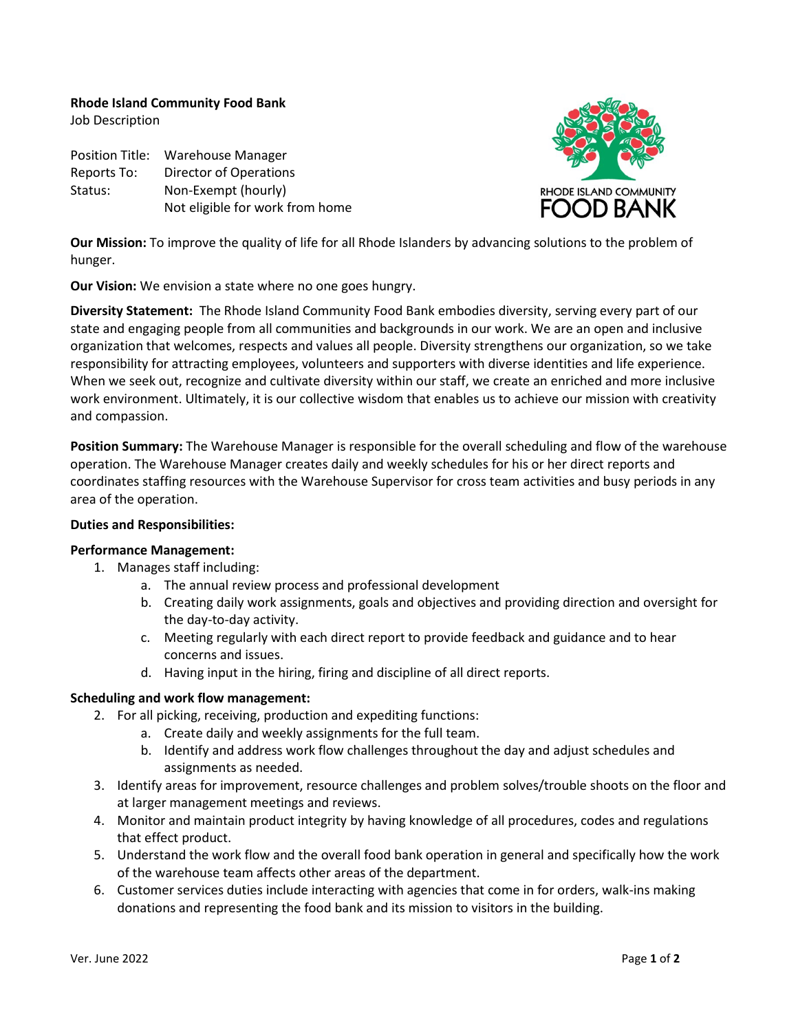**Rhode Island Community Food Bank**

Job Description

Position Title: Warehouse Manager Reports To: Director of Operations Status: Non-Exempt (hourly) Not eligible for work from home



**Our Mission:** To improve the quality of life for all Rhode Islanders by advancing solutions to the problem of hunger.

**Our Vision:** We envision a state where no one goes hungry.

**Diversity Statement:** The Rhode Island Community Food Bank embodies diversity, serving every part of our state and engaging people from all communities and backgrounds in our work. We are an open and inclusive organization that welcomes, respects and values all people. Diversity strengthens our organization, so we take responsibility for attracting employees, volunteers and supporters with diverse identities and life experience. When we seek out, recognize and cultivate diversity within our staff, we create an enriched and more inclusive work environment. Ultimately, it is our collective wisdom that enables us to achieve our mission with creativity and compassion.

**Position Summary:** The Warehouse Manager is responsible for the overall scheduling and flow of the warehouse operation. The Warehouse Manager creates daily and weekly schedules for his or her direct reports and coordinates staffing resources with the Warehouse Supervisor for cross team activities and busy periods in any area of the operation.

### **Duties and Responsibilities:**

### **Performance Management:**

- 1. Manages staff including:
	- a. The annual review process and professional development
	- b. Creating daily work assignments, goals and objectives and providing direction and oversight for the day-to-day activity.
	- c. Meeting regularly with each direct report to provide feedback and guidance and to hear concerns and issues.
	- d. Having input in the hiring, firing and discipline of all direct reports.

### **Scheduling and work flow management:**

- 2. For all picking, receiving, production and expediting functions:
	- a. Create daily and weekly assignments for the full team.
	- b. Identify and address work flow challenges throughout the day and adjust schedules and assignments as needed.
- 3. Identify areas for improvement, resource challenges and problem solves/trouble shoots on the floor and at larger management meetings and reviews.
- 4. Monitor and maintain product integrity by having knowledge of all procedures, codes and regulations that effect product.
- 5. Understand the work flow and the overall food bank operation in general and specifically how the work of the warehouse team affects other areas of the department.
- 6. Customer services duties include interacting with agencies that come in for orders, walk-ins making donations and representing the food bank and its mission to visitors in the building.